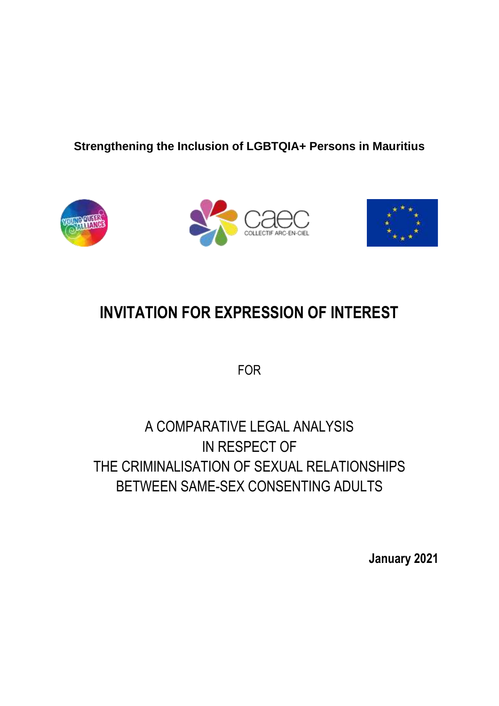### **Strengthening the Inclusion of LGBTQIA+ Persons in Mauritius**







# **INVITATION FOR EXPRESSION OF INTEREST**

FOR

## A COMPARATIVE LEGAL ANALYSIS IN RESPECT OF THE CRIMINALISATION OF SEXUAL RELATIONSHIPS BETWEEN SAME-SEX CONSENTING ADULTS

**January 2021**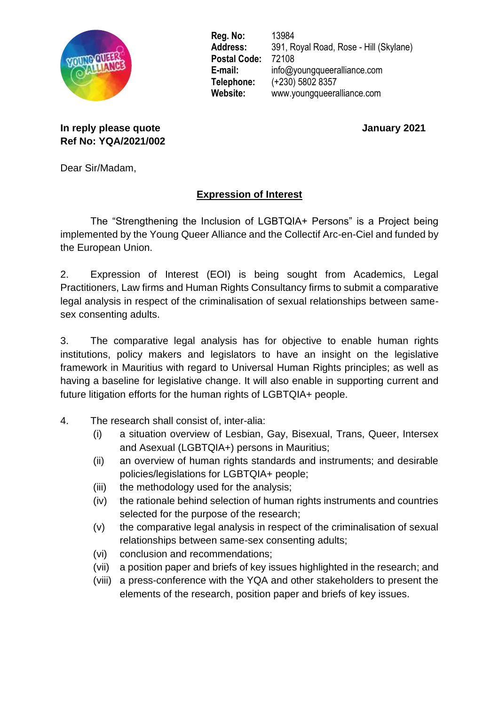

**Reg. No:** 13984 **Address:** 391, Royal Road, Rose - Hill (Skylane) **Postal Code:** 72108 **E-mail:** info@youngqueeralliance.com **Telephone:** (+230) 5802 8357 **Website:** www.youngqueeralliance.com

**In reply please quote January 2021 Ref No: YQA/2021/002**

Dear Sir/Madam,

### **Expression of Interest**

The "Strengthening the Inclusion of LGBTQIA+ Persons" is a Project being implemented by the Young Queer Alliance and the Collectif Arc-en-Ciel and funded by the European Union.

2. Expression of Interest (EOI) is being sought from Academics, Legal Practitioners, Law firms and Human Rights Consultancy firms to submit a comparative legal analysis in respect of the criminalisation of sexual relationships between samesex consenting adults.

3. The comparative legal analysis has for objective to enable human rights institutions, policy makers and legislators to have an insight on the legislative framework in Mauritius with regard to Universal Human Rights principles; as well as having a baseline for legislative change. It will also enable in supporting current and future litigation efforts for the human rights of LGBTQIA+ people.

- 4. The research shall consist of, inter-alia:
	- (i) a situation overview of Lesbian, Gay, Bisexual, Trans, Queer, Intersex and Asexual (LGBTQIA+) persons in Mauritius;
	- (ii) an overview of human rights standards and instruments; and desirable policies/legislations for LGBTQIA+ people;
	- (iii) the methodology used for the analysis;
	- (iv) the rationale behind selection of human rights instruments and countries selected for the purpose of the research;
	- (v) the comparative legal analysis in respect of the criminalisation of sexual relationships between same-sex consenting adults;
	- (vi) conclusion and recommendations;
	- (vii) a position paper and briefs of key issues highlighted in the research; and
	- (viii) a press-conference with the YQA and other stakeholders to present the elements of the research, position paper and briefs of key issues.